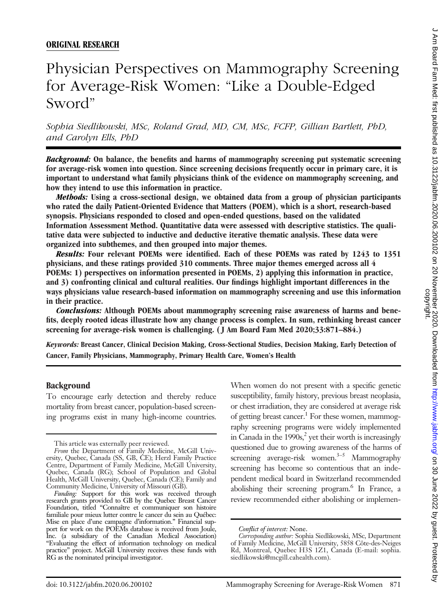# ORIGINAL RESEARCH

# Physician Perspectives on Mammography Screening for Average-Risk Women: "Like a Double-Edged Sword"

Sophia Siedlikowski, MSc, Roland Grad, MD, CM, MSc, FCFP, Gillian Bartlett, PhD, and Carolyn Ells, PhD

Background: On balance, the benefits and harms of mammography screening put systematic screening for average-risk women into question. Since screening decisions frequently occur in primary care, it is important to understand what family physicians think of the evidence on mammography screening, and how they intend to use this information in practice.

Methods: Using a cross-sectional design, we obtained data from a group of physician participants who rated the daily Patient-Oriented Evidence that Matters (POEM), which is a short, research-based synopsis. Physicians responded to closed and open-ended questions, based on the validated Information Assessment Method. Quantitative data were assessed with descriptive statistics. The qualitative data were subjected to inductive and deductive iterative thematic analysis. These data were organized into subthemes, and then grouped into major themes.

Results: Four relevant POEMs were identified. Each of these POEMs was rated by 1243 to 1351 physicians, and these ratings provided 310 comments. Three major themes emerged across all 4 POEMs: 1) perspectives on information presented in POEMs, 2) applying this information in practice, and 3) confronting clinical and cultural realities. Our findings highlight important differences in the ways physicians value research-based information on mammography screening and use this information in their practice.

Conclusions: Although POEMs about mammography screening raise awareness of harms and benefits, deeply rooted ideas illustrate how any change process is complex. In sum, rethinking breast cancer screening for average-risk women is challenging. ( J Am Board Fam Med 2020;33:871–884.)

Keywords: Breast Cancer, Clinical Decision Making, Cross-Sectional Studies, Decision Making, Early Detection of Cancer, Family Physicians, Mammography, Primary Health Care, Women's Health

#### Background

To encourage early detection and thereby reduce mortality from breast cancer, population-based screening programs exist in many high-income countries.

When women do not present with a specific genetic susceptibility, family history, previous breast neoplasia, or chest irradiation, they are considered at average risk of getting breast cancer.<sup>1</sup> For these women, mammography screening programs were widely implemented in Canada in the  $1990s<sub>s</sub><sup>2</sup>$  yet their worth is increasingly questioned due to growing awareness of the harms of screening average-risk women.<sup>3–5</sup> Mammography screening has become so contentious that an independent medical board in Switzerland recommended abolishing their screening program.<sup>6</sup> In France, a review recommended either abolishing or implemen-

This article was externally peer reviewed.

From the Department of Family Medicine, McGill University, Quebec, Canada (SS, GB, CE); Herzl Family Practice Centre, Department of Family Medicine, McGill University, Quebec, Canada (RG); School of Population and Global Health, McGill University, Quebec, Canada (CE); Family and Community Medicine, University of Missouri (GB).

Funding: Support for this work was received through research grants provided to GB by the Quebec Breast Cancer Foundation, titled "Connaître et communiquer son histoire familiale pour mieux lutter contre le cancer du sein au Québec: Mise en place d'une campagne d'information." Financial support for work on the POEMs database is received from Joule, Inc. (a subsidiary of the Canadian Medical Association) "Evaluating the effect of information technology on medical practice" project. McGill University receives these funds with RG as the nominated principal investigator.

Conflict of interest: None.

Corresponding author: Sophia Siedlikowski, MSc, Department of Family Medicine, McGill University, 5858 Côte-des-Neiges Rd, Montreal, Quebec H3S 1Z1, Canada (E-mail: [sophia.](mailto:sophia.siedlikowski@mcgill.cahealth.com) [siedlikowski@mcgill.cahealth.com\)](mailto:sophia.siedlikowski@mcgill.cahealth.com).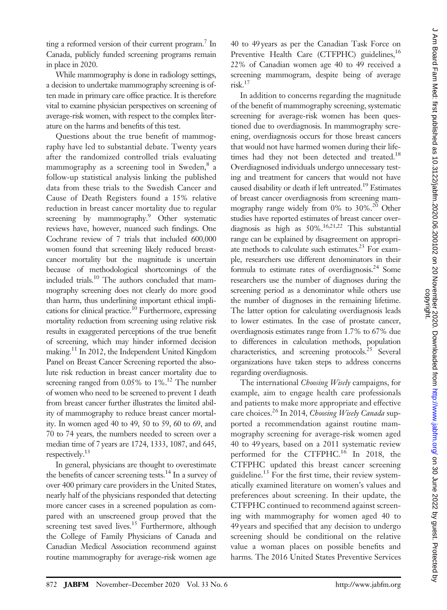ting a reformed version of their current program.<sup>7</sup> In Canada, publicly funded screening programs remain in place in 2020.

While mammography is done in radiology settings, a decision to undertake mammography screening is often made in primary care office practice. It is therefore vital to examine physician perspectives on screening of average-risk women, with respect to the complex literature on the harms and benefits of this test.

Questions about the true benefit of mammography have led to substantial debate. Twenty years after the randomized controlled trials evaluating mammography as a screening tool in Sweden,<sup>8</sup> a follow-up statistical analysis linking the published data from these trials to the Swedish Cancer and Cause of Death Registers found a 15% relative reduction in breast cancer mortality due to regular screening by mammography.<sup>9</sup> Other systematic reviews have, however, nuanced such findings. One Cochrane review of 7 trials that included 600,000 women found that screening likely reduced breastcancer mortality but the magnitude is uncertain because of methodological shortcomings of the included trials.<sup>10</sup> The authors concluded that mammography screening does not clearly do more good than harm, thus underlining important ethical implications for clinical practice.<sup>10</sup> Furthermore, expressing mortality reduction from screening using relative risk results in exaggerated perceptions of the true benefit of screening, which may hinder informed decision making.<sup>11</sup> In 2012, the Independent United Kingdom Panel on Breast Cancer Screening reported the absolute risk reduction in breast cancer mortality due to screening ranged from  $0.05\%$  to  $1\%$ .<sup>12</sup> The number of women who need to be screened to prevent 1 death from breast cancer further illustrates the limited ability of mammography to reduce breast cancer mortality. In women aged 40 to 49, 50 to 59, 60 to 69, and 70 to 74 years, the numbers needed to screen over a median time of 7 years are 1724, 1333, 1087, and 645, respectively.13

In general, physicians are thought to overestimate the benefits of cancer screening tests.<sup>14</sup> In a survey of over 400 primary care providers in the United States, nearly half of the physicians responded that detecting more cancer cases in a screened population as compared with an unscreened group proved that the screening test saved lives.<sup>15</sup> Furthermore, although the College of Family Physicians of Canada and Canadian Medical Association recommend against routine mammography for average-risk women age

40 to 49 years as per the Canadian Task Force on Preventive Health Care (CTFPHC) guidelines,<sup>16</sup> 22% of Canadian women age 40 to 49 received a screening mammogram, despite being of average risk.17

In addition to concerns regarding the magnitude of the benefit of mammography screening, systematic screening for average-risk women has been questioned due to overdiagnosis. In mammography screening, overdiagnosis occurs for those breast cancers that would not have harmed women during their lifetimes had they not been detected and treated.<sup>18</sup> Overdiagnosed individuals undergo unnecessary testing and treatment for cancers that would not have caused disability or death if left untreated.<sup>19</sup> Estimates of breast cancer overdiagnosis from screening mammography range widely from 0% to 30%.<sup>20</sup> Other studies have reported estimates of breast cancer overdiagnosis as high as  $50\%$ .<sup>16,21,22</sup> This substantial range can be explained by disagreement on appropriate methods to calculate such estimates.<sup>23</sup> For example, researchers use different denominators in their formula to estimate rates of overdiagnosis.<sup>24</sup> Some researchers use the number of diagnoses during the screening period as a denominator while others use the number of diagnoses in the remaining lifetime. The latter option for calculating overdiagnosis leads to lower estimates. In the case of prostate cancer, overdiagnosis estimates range from 1.7% to 67% due to differences in calculation methods, population characteristics, and screening protocols.<sup>25</sup> Several organizations have taken steps to address concerns regarding overdiagnosis.

The international Choosing Wisely campaigns, for example, aim to engage health care professionals and patients to make more appropriate and effective care choices.<sup>26</sup> In 2014, Choosing Wisely Canada supported a recommendation against routine mammography screening for average-risk women aged 40 to 49 years, based on a 2011 systematic review performed for the CTFPHC.16 In 2018, the CTFPHC updated this breast cancer screening guideline.<sup>13</sup> For the first time, their review systematically examined literature on women's values and preferences about screening. In their update, the CTFPHC continued to recommend against screening with mammography for women aged 40 to 49 years and specified that any decision to undergo screening should be conditional on the relative value a woman places on possible benefits and harms. The 2016 United States Preventive Services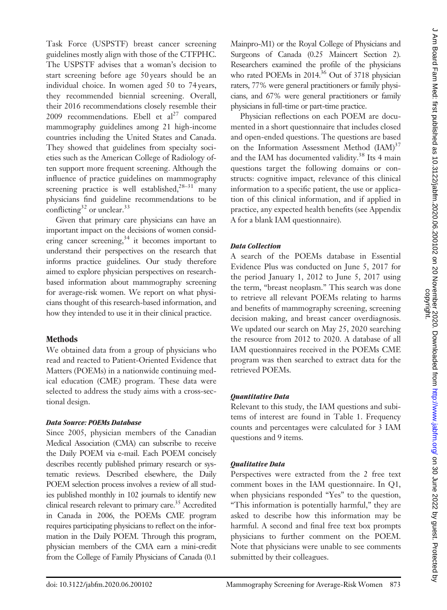Task Force (USPSTF) breast cancer screening guidelines mostly align with those of the CTFPHC. The USPSTF advises that a woman's decision to start screening before age 50 years should be an individual choice. In women aged 50 to 74 years, they recommended biennial screening. Overall, their 2016 recommendations closely resemble their 2009 recommendations. Ebell et  $al^{27}$  compared mammography guidelines among 21 high-income countries including the United States and Canada. They showed that guidelines from specialty societies such as the American College of Radiology often support more frequent screening. Although the influence of practice guidelines on mammography screening practice is well established, $28-31$  many physicians find guideline recommendations to be conflicting<sup>32</sup> or unclear.<sup>33</sup>

Given that primary care physicians can have an important impact on the decisions of women considering cancer screening, $34$  it becomes important to understand their perspectives on the research that informs practice guidelines. Our study therefore aimed to explore physician perspectives on researchbased information about mammography screening for average-risk women. We report on what physicians thought of this research-based information, and how they intended to use it in their clinical practice.

# Methods

We obtained data from a group of physicians who read and reacted to Patient-Oriented Evidence that Matters (POEMs) in a nationwide continuing medical education (CME) program. These data were selected to address the study aims with a cross-sectional design.

# Data Source: POEMs Database

Since 2005, physician members of the Canadian Medical Association (CMA) can subscribe to receive the Daily POEM via e-mail. Each POEM concisely describes recently published primary research or systematic reviews. Described elsewhere, the Daily POEM selection process involves a review of all studies published monthly in 102 journals to identify new clinical research relevant to primary care.<sup>35</sup> Accredited in Canada in 2006, the POEMs CME program requires participating physicians to reflect on the information in the Daily POEM. Through this program, physician members of the CMA earn a mini-credit from the College of Family Physicians of Canada (0.1

Mainpro-M1) or the Royal College of Physicians and Surgeons of Canada (0.25 Maincert Section 2). Researchers examined the profile of the physicians who rated POEMs in 2014.<sup>36</sup> Out of 3718 physician raters, 77% were general practitioners or family physicians, and 67% were general practitioners or family physicians in full-time or part-time practice.

Physician reflections on each POEM are documented in a short questionnaire that includes closed and open-ended questions. The questions are based on the Information Assessment Method  $(IAM)^{37}$ and the IAM has documented validity.<sup>38</sup> Its 4 main questions target the following domains or constructs: cognitive impact, relevance of this clinical information to a specific patient, the use or application of this clinical information, and if applied in practice, any expected health benefits (see Appendix A for a blank IAM questionnaire).

# Data Collection

A search of the POEMs database in Essential Evidence Plus was conducted on June 5, 2017 for the period January 1, 2012 to June 5, 2017 using the term, "breast neoplasm." This search was done to retrieve all relevant POEMs relating to harms and benefits of mammography screening, screening decision making, and breast cancer overdiagnosis. We updated our search on May 25, 2020 searching the resource from 2012 to 2020. A database of all IAM questionnaires received in the POEMs CME program was then searched to extract data for the retrieved POEMs.

# Quantitative Data

Relevant to this study, the IAM questions and subitems of interest are found in Table 1. Frequency counts and percentages were calculated for 3 IAM questions and 9 items.

# Qualitative Data

Perspectives were extracted from the 2 free text comment boxes in the IAM questionnaire. In Q1, when physicians responded "Yes" to the question, "This information is potentially harmful," they are asked to describe how this information may be harmful. A second and final free text box prompts physicians to further comment on the POEM. Note that physicians were unable to see comments submitted by their colleagues.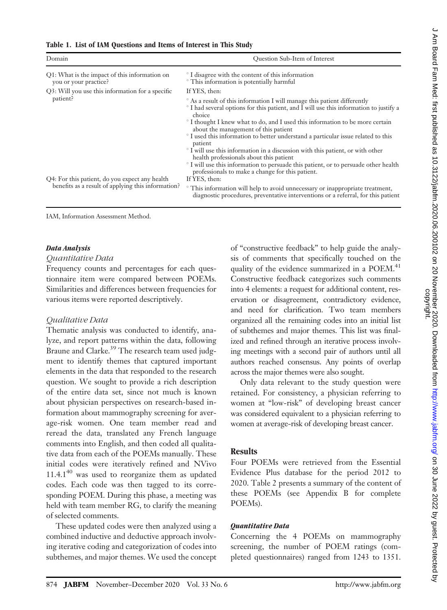|  |  | Table 1. List of IAM Questions and Items of Interest in This Study |  |  |  |  |
|--|--|--------------------------------------------------------------------|--|--|--|--|
|--|--|--------------------------------------------------------------------|--|--|--|--|

| Domain                                                                                               | Question Sub-Item of Interest                                                                                                                                                                                                                                                                                                                                                                                                                                                                                                                                                                                                                                                                                             |  |  |  |
|------------------------------------------------------------------------------------------------------|---------------------------------------------------------------------------------------------------------------------------------------------------------------------------------------------------------------------------------------------------------------------------------------------------------------------------------------------------------------------------------------------------------------------------------------------------------------------------------------------------------------------------------------------------------------------------------------------------------------------------------------------------------------------------------------------------------------------------|--|--|--|
| Q1: What is the impact of this information on<br>you or your practice?                               | <sup>o</sup> I disagree with the content of this information<br><sup>o</sup> This information is potentially harmful                                                                                                                                                                                                                                                                                                                                                                                                                                                                                                                                                                                                      |  |  |  |
| Q3: Will you use this information for a specific                                                     | If YES, then:                                                                                                                                                                                                                                                                                                                                                                                                                                                                                                                                                                                                                                                                                                             |  |  |  |
| patient?                                                                                             | ° As a result of this information I will manage this patient differently<br><sup>o</sup> I had several options for this patient, and I will use this information to justify a<br>choice<br><sup>o</sup> I thought I knew what to do, and I used this information to be more certain<br>about the management of this patient<br>° I used this information to better understand a particular issue related to this<br>patient<br><sup>o</sup> I will use this information in a discussion with this patient, or with other<br>health professionals about this patient<br><sup>o</sup> I will use this information to persuade this patient, or to persuade other health<br>professionals to make a change for this patient. |  |  |  |
| Q4: For this patient, do you expect any health<br>benefits as a result of applying this information? | If YES, then:<br><sup>o</sup> This information will help to avoid unnecessary or inappropriate treatment,<br>diagnostic procedures, preventative interventions or a referral, for this patient                                                                                                                                                                                                                                                                                                                                                                                                                                                                                                                            |  |  |  |

IAM, Information Assessment Method.

#### Data Analysis

#### Quantitative Data

Frequency counts and percentages for each questionnaire item were compared between POEMs. Similarities and differences between frequencies for various items were reported descriptively.

# Qualitative Data

Thematic analysis was conducted to identify, analyze, and report patterns within the data, following Braune and Clarke.<sup>39</sup> The research team used judgment to identify themes that captured important elements in the data that responded to the research question. We sought to provide a rich description of the entire data set, since not much is known about physician perspectives on research-based information about mammography screening for average-risk women. One team member read and reread the data, translated any French language comments into English, and then coded all qualitative data from each of the POEMs manually. These initial codes were iteratively refined and NVivo  $11.4.1^{40}$  was used to reorganize them as updated codes. Each code was then tagged to its corresponding POEM. During this phase, a meeting was held with team member RG, to clarify the meaning of selected comments.

These updated codes were then analyzed using a combined inductive and deductive approach involving iterative coding and categorization of codes into subthemes, and major themes. We used the concept of "constructive feedback" to help guide the analysis of comments that specifically touched on the quality of the evidence summarized in a POEM.<sup>41</sup> Constructive feedback categorizes such comments into 4 elements: a request for additional content, reservation or disagreement, contradictory evidence, and need for clarification. Two team members organized all the remaining codes into an initial list of subthemes and major themes. This list was finalized and refined through an iterative process involving meetings with a second pair of authors until all authors reached consensus. Any points of overlap across the major themes were also sought.

Only data relevant to the study question were retained. For consistency, a physician referring to women at "low-risk" of developing breast cancer was considered equivalent to a physician referring to women at average-risk of developing breast cancer.

# **Results**

Four POEMs were retrieved from the Essential Evidence Plus database for the period 2012 to 2020. Table 2 presents a summary of the content of these POEMs (see Appendix B for complete POEMs).

# Quantitative Data

Concerning the 4 POEMs on mammography screening, the number of POEM ratings (completed questionnaires) ranged from 1243 to 1351.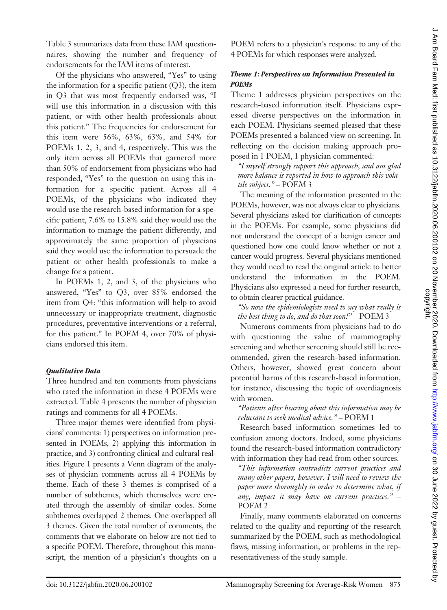Table 3 summarizes data from these IAM questionnaires, showing the number and frequency of endorsements for the IAM items of interest.

Of the physicians who answered, "Yes" to using the information for a specific patient  $(Q3)$ , the item in Q3 that was most frequently endorsed was, "I will use this information in a discussion with this patient, or with other health professionals about this patient." The frequencies for endorsement for this item were 56%, 63%, 63%, and 54% for POEMs 1, 2, 3, and 4, respectively. This was the only item across all POEMs that garnered more than 50% of endorsement from physicians who had responded, "Yes" to the question on using this information for a specific patient. Across all 4 POEMs, of the physicians who indicated they would use the research-based information for a specific patient, 7.6% to 15.8% said they would use the information to manage the patient differently, and approximately the same proportion of physicians said they would use the information to persuade the patient or other health professionals to make a change for a patient.

In POEMs 1, 2, and 3, of the physicians who answered, "Yes" to Q3, over 85% endorsed the item from Q4: "this information will help to avoid unnecessary or inappropriate treatment, diagnostic procedures, preventative interventions or a referral, for this patient." In POEM 4, over 70% of physicians endorsed this item.

#### Qualitative Data

Three hundred and ten comments from physicians who rated the information in these 4 POEMs were extracted. Table 4 presents the number of physician ratings and comments for all 4 POEMs.

Three major themes were identified from physicians' comments: 1) perspectives on information presented in POEMs, 2) applying this information in practice, and 3) confronting clinical and cultural realities. Figure 1 presents a Venn diagram of the analyses of physician comments across all 4 POEMs by theme. Each of these 3 themes is comprised of a number of subthemes, which themselves were created through the assembly of similar codes. Some subthemes overlapped 2 themes. One overlapped all 3 themes. Given the total number of comments, the comments that we elaborate on below are not tied to a specific POEM. Therefore, throughout this manuscript, the mention of a physician's thoughts on a

POEM refers to a physician's response to any of the 4 POEMs for which responses were analyzed.

### Theme 1: Perspectives on Information Presented in POEMs

Theme 1 addresses physician perspectives on the research-based information itself. Physicians expressed diverse perspectives on the information in each POEM. Physicians seemed pleased that these POEMs presented a balanced view on screening. In reflecting on the decision making approach proposed in 1 POEM, 1 physician commented:

"I myself strongly support this approach, and am glad more balance is reported in how to approach this volatile subject." – POEM 3

The meaning of the information presented in the POEMs, however, was not always clear to physicians. Several physicians asked for clarification of concepts in the POEMs. For example, some physicians did not understand the concept of a benign cancer and questioned how one could know whether or not a cancer would progress. Several physicians mentioned they would need to read the original article to better understand the information in the POEM. Physicians also expressed a need for further research, to obtain clearer practical guidance.

"So now the epidemiologists need to say what really is the best thing to do, and do that soon!" – POEM 3

Numerous comments from physicians had to do with questioning the value of mammography screening and whether screening should still be recommended, given the research-based information. Others, however, showed great concern about potential harms of this research-based information, for instance, discussing the topic of overdiagnosis with women.

"Patients after hearing about this information may be reluctant to seek medical advice." – POEM 1

Research-based information sometimes led to confusion among doctors. Indeed, some physicians found the research-based information contradictory with information they had read from other sources.

"This information contradicts current practices and many other papers, however, I will need to review the paper more thoroughly in order to determine what, if any, impact it may have on current practices." – POEM 2

Finally, many comments elaborated on concerns related to the quality and reporting of the research summarized by the POEM, such as methodological flaws, missing information, or problems in the representativeness of the study sample.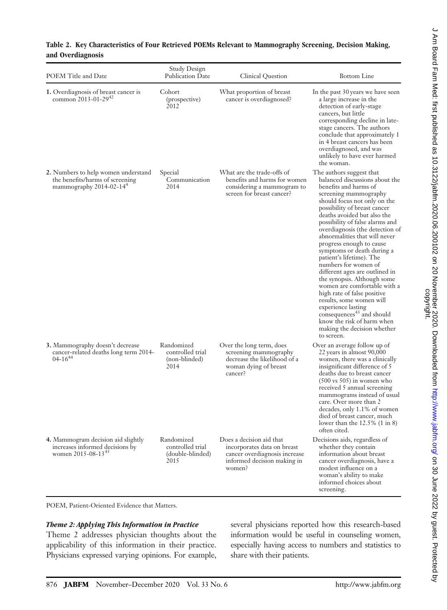| POEM Title and Date                                                                                           | Study Design<br>Publication Date                           | Clinical Question                                                                                                                 | <b>Bottom</b> Line                                                                                                                                                                                                                                                                                                                                                                                                                                                                                                                                                                                                                                                                                                                     |  |  |
|---------------------------------------------------------------------------------------------------------------|------------------------------------------------------------|-----------------------------------------------------------------------------------------------------------------------------------|----------------------------------------------------------------------------------------------------------------------------------------------------------------------------------------------------------------------------------------------------------------------------------------------------------------------------------------------------------------------------------------------------------------------------------------------------------------------------------------------------------------------------------------------------------------------------------------------------------------------------------------------------------------------------------------------------------------------------------------|--|--|
| 1. Overdiagnosis of breast cancer is<br>common 2013-01-29 <sup>42</sup>                                       | Cohort<br>(prospective)<br>2012                            | What proportion of breast<br>cancer is overdiagnosed?                                                                             | In the past 30 years we have seen<br>a large increase in the<br>detection of early-stage<br>cancers, but little<br>corresponding decline in late-<br>stage cancers. The authors<br>conclude that approximately 1<br>in 4 breast cancers has been<br>overdiagnosed, and was<br>unlikely to have ever harmed<br>the woman.                                                                                                                                                                                                                                                                                                                                                                                                               |  |  |
| 2. Numbers to help women understand<br>the benefits/harms of screening<br>mammography 2014-02-14 <sup>4</sup> | Special<br>Communication<br>2014                           | What are the trade-offs of<br>benefits and harms for women<br>considering a mammogram to<br>screen for breast cancer?             | The authors suggest that<br>balanced discussions about the<br>benefits and harms of<br>screening mammography<br>should focus not only on the<br>possibility of breast cancer<br>deaths avoided but also the<br>possibility of false alarms and<br>overdiagnosis (the detection of<br>abnormalities that will never<br>progress enough to cause<br>symptoms or death during a<br>patient's lifetime). The<br>numbers for women of<br>different ages are outlined in<br>the synopsis. Although some<br>women are comfortable with a<br>high rate of false positive<br>results, some women will<br>experience lasting<br>consequences <sup>43</sup> and should<br>know the risk of harm when<br>making the decision whether<br>to screen. |  |  |
| <b>3.</b> Mammography doesn't decrease<br>cancer-related deaths long term 2014-<br>$04 - 16^{44}$             | Randomized<br>controlled trial<br>(non-blinded)<br>2014    | Over the long term, does<br>screening mammography<br>decrease the likelihood of a<br>woman dying of breast<br>cancer?             | Over an average follow up of<br>22 years in almost 90,000<br>women, there was a clinically<br>insignificant difference of 5<br>deaths due to breast cancer<br>$(500 \text{ vs } 505)$ in women who<br>received 5 annual screening<br>mammograms instead of usual<br>care. Over more than 2<br>decades, only 1.1% of women<br>died of breast cancer, much<br>lower than the $12.5\%$ (1 in 8)<br>often cited.                                                                                                                                                                                                                                                                                                                           |  |  |
| 4. Mammogram decision aid slightly<br>increases informed decisions by<br>women $2015 - 08 - 13^{45}$          | Randomized<br>controlled trial<br>(double-blinded)<br>2015 | Does a decision aid that<br>incorporates data on breast<br>cancer overdiagnosis increase<br>informed decision making in<br>women? | Decisions aids, regardless of<br>whether they contain<br>information about breast<br>cancer overdiagnosis, have a<br>modest influence on a<br>woman's ability to make<br>informed choices about<br>screening.                                                                                                                                                                                                                                                                                                                                                                                                                                                                                                                          |  |  |

#### Table 2. Key Characteristics of Four Retrieved POEMs Relevant to Mammography Screening, Decision Making, and Overdiagnosis

POEM, Patient-Oriented Evidence that Matters.

#### Theme 2: Applying This Information in Practice

Theme 2 addresses physician thoughts about the applicability of this information in their practice. Physicians expressed varying opinions. For example, several physicians reported how this research-based information would be useful in counseling women, especially having access to numbers and statistics to share with their patients.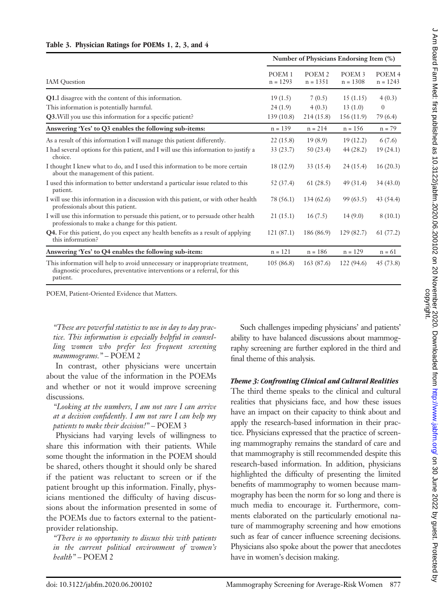|  | Table 3. Physician Ratings for POEMs 1, 2, 3, and 4 |  |  |  |  |  |  |  |  |
|--|-----------------------------------------------------|--|--|--|--|--|--|--|--|
|--|-----------------------------------------------------|--|--|--|--|--|--|--|--|

|                                                                                                                                                                      | Number of Physicians Endorsing Item (%) |                                 |                                 |                                 |  |  |
|----------------------------------------------------------------------------------------------------------------------------------------------------------------------|-----------------------------------------|---------------------------------|---------------------------------|---------------------------------|--|--|
| <b>IAM</b> Question                                                                                                                                                  |                                         | POEM <sub>2</sub><br>$n = 1351$ | POEM <sub>3</sub><br>$n = 1308$ | POEM <sub>4</sub><br>$n = 1243$ |  |  |
| Q1.I disagree with the content of this information.                                                                                                                  | 19(1.5)                                 | 7(0.5)                          | 15(1.15)                        | 4(0.3)                          |  |  |
| This information is potentially harmful.                                                                                                                             | 24(1.9)                                 | 4(0.3)                          | 13(1.0)                         | $\overline{0}$                  |  |  |
| Q3. Will you use this information for a specific patient?                                                                                                            | 139(10.8)                               | 214(15.8)                       | 156 (11.9)                      | 79 (6.4)                        |  |  |
| Answering 'Yes' to Q3 enables the following sub-items:                                                                                                               | $n = 139$                               | $n = 214$                       | $n = 156$                       | $n = 79$                        |  |  |
| As a result of this information I will manage this patient differently.                                                                                              | 22(15.8)                                | 19(8.9)                         | 19(12.2)                        | 6(7.6)                          |  |  |
| I had several options for this patient, and I will use this information to justify a<br>choice.                                                                      | 33 (23.7)                               | 50 (23.4)                       | 44(28.2)                        | 19(24.1)                        |  |  |
| I thought I knew what to do, and I used this information to be more certain<br>about the management of this patient.                                                 | 18 (12.9)                               | 33(15.4)                        | 24(15.4)                        | 16(20.3)                        |  |  |
| I used this information to better understand a particular issue related to this<br>patient.                                                                          | 52 (37.4)                               | 61(28.5)                        | 49(31.4)                        | 34(43.0)                        |  |  |
| I will use this information in a discussion with this patient, or with other health<br>professionals about this patient.                                             | 78 (56.1)                               | 134(62.6)                       | 99(63.5)                        | 43(54.4)                        |  |  |
| I will use this information to persuade this patient, or to persuade other health<br>professionals to make a change for this patient.                                | 21(15.1)                                | 16(7.5)                         | 14(9.0)                         | 8(10.1)                         |  |  |
| <b>Q4.</b> For this patient, do you expect any health benefits as a result of applying<br>this information?                                                          | 121(87.1)                               | 186 (86.9)                      | 129 (82.7)                      | 61(77.2)                        |  |  |
| Answering 'Yes' to Q4 enables the following sub-item:                                                                                                                | $n = 121$                               | $n = 186$                       | $n = 129$                       | $n = 61$                        |  |  |
| This information will help to avoid unnecessary or inappropriate treatment,<br>diagnostic procedures, preventative interventions or a referral, for this<br>patient. | 105(86.8)                               | 163(87.6)                       | 122 (94.6)                      | 45(73.8)                        |  |  |

POEM, Patient-Oriented Evidence that Matters.

"These are powerful statistics to use in day to day practice. This information is especially helpful in counselling women who prefer less frequent screening mammograms." – POEM 2

In contrast, other physicians were uncertain about the value of the information in the POEMs and whether or not it would improve screening discussions.

"Looking at the numbers, I am not sure I can arrive at a decision confidently. I am not sure I can help my patients to make their decision!" – POEM 3

Physicians had varying levels of willingness to share this information with their patients. While some thought the information in the POEM should be shared, others thought it should only be shared if the patient was reluctant to screen or if the patient brought up this information. Finally, physicians mentioned the difficulty of having discussions about the information presented in some of the POEMs due to factors external to the patientprovider relationship.

"There is no opportunity to discuss this with patients in the current political environment of women's health" – POEM 2

Such challenges impeding physicians' and patients' ability to have balanced discussions about mammography screening are further explored in the third and final theme of this analysis.

#### Theme 3: Confronting Clinical and Cultural Realities

The third theme speaks to the clinical and cultural realities that physicians face, and how these issues have an impact on their capacity to think about and apply the research-based information in their practice. Physicians expressed that the practice of screening mammography remains the standard of care and that mammography is still recommended despite this research-based information. In addition, physicians highlighted the difficulty of presenting the limited benefits of mammography to women because mammography has been the norm for so long and there is much media to encourage it. Furthermore, comments elaborated on the particularly emotional nature of mammography screening and how emotions such as fear of cancer influence screening decisions. Physicians also spoke about the power that anecdotes have in women's decision making.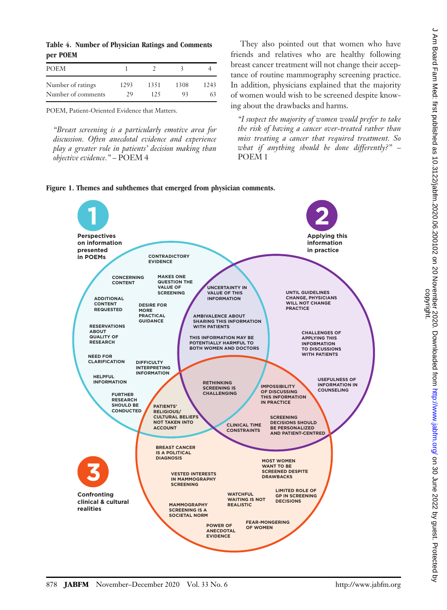| <b>POEM</b>        |      |      |      |      |  |
|--------------------|------|------|------|------|--|
| Number of ratings  | 1293 | 1351 | 1308 | 1243 |  |
| Number of comments | 29   | 125  | 93   | 63   |  |

POEM, Patient-Oriented Evidence that Matters.

"Breast screening is a particularly emotive area for discussion. Often anecdotal evidence and experience play a greater role in patients' decision making than objective evidence." – POEM 4

They also pointed out that women who have friends and relatives who are healthy following breast cancer treatment will not change their acceptance of routine mammography screening practice. In addition, physicians explained that the majority of women would wish to be screened despite knowing about the drawbacks and harms.

"I suspect the majority of women would prefer to take the risk of having a cancer over-treated rather than miss treating a cancer that required treatment. So what if anything should be done differently?"  $-$ POEM 1



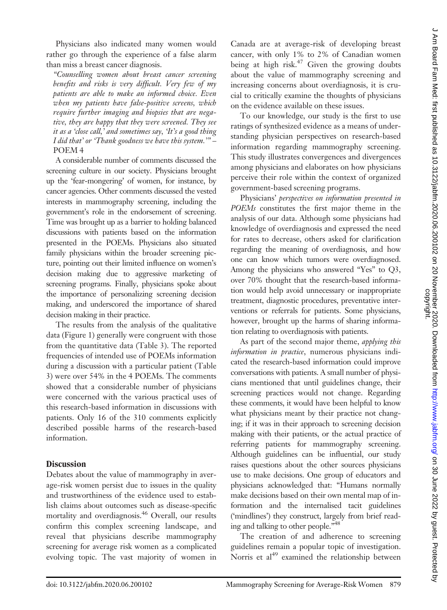Physicians also indicated many women would rather go through the experience of a false alarm than miss a breast cancer diagnosis.

"Counselling women about breast cancer screening benefits and risks is very difficult. Very few of my patients are able to make an informed choice. Even when my patients have false-positive screens, which require further imaging and biopsies that are negative, they are happy that they were screened. They see it as a 'close call,' and sometimes say, 'It's a good thing I did that' or 'Thank goodness we have this system.'" – POEM 4

A considerable number of comments discussed the screening culture in our society. Physicians brought up the 'fear-mongering' of women, for instance, by cancer agencies. Other comments discussed the vested interests in mammography screening, including the government's role in the endorsement of screening. Time was brought up as a barrier to holding balanced discussions with patients based on the information presented in the POEMs. Physicians also situated family physicians within the broader screening picture, pointing out their limited influence on women's decision making due to aggressive marketing of screening programs. Finally, physicians spoke about the importance of personalizing screening decision making, and underscored the importance of shared decision making in their practice.

The results from the analysis of the qualitative data (Figure 1) generally were congruent with those from the quantitative data (Table 3). The reported frequencies of intended use of POEMs information during a discussion with a particular patient (Table 3) were over 54% in the 4 POEMs. The comments showed that a considerable number of physicians were concerned with the various practical uses of this research-based information in discussions with patients. Only 16 of the 310 comments explicitly described possible harms of the research-based information.

# **Discussion**

Debates about the value of mammography in average-risk women persist due to issues in the quality and trustworthiness of the evidence used to establish claims about outcomes such as disease-specific mortality and overdiagnosis.46 Overall, our results confirm this complex screening landscape, and reveal that physicians describe mammography screening for average risk women as a complicated evolving topic. The vast majority of women in Canada are at average-risk of developing breast cancer, with only 1% to 2% of Canadian women being at high risk. $47$  Given the growing doubts about the value of mammography screening and increasing concerns about overdiagnosis, it is crucial to critically examine the thoughts of physicians on the evidence available on these issues.

To our knowledge, our study is the first to use ratings of synthesized evidence as a means of understanding physician perspectives on research-based information regarding mammography screening. This study illustrates convergences and divergences among physicians and elaborates on how physicians perceive their role within the context of organized government-based screening programs.

Physicians' perspectives on information presented in POEMs constitutes the first major theme in the analysis of our data. Although some physicians had knowledge of overdiagnosis and expressed the need for rates to decrease, others asked for clarification regarding the meaning of overdiagnosis, and how one can know which tumors were overdiagnosed. Among the physicians who answered "Yes" to Q3, over 70% thought that the research-based information would help avoid unnecessary or inappropriate treatment, diagnostic procedures, preventative interventions or referrals for patients. Some physicians, however, brought up the harms of sharing information relating to overdiagnosis with patients.

As part of the second major theme, applying this information in practice, numerous physicians indicated the research-based information could improve conversations with patients. A small number of physicians mentioned that until guidelines change, their screening practices would not change. Regarding these comments, it would have been helpful to know what physicians meant by their practice not changing; if it was in their approach to screening decision making with their patients, or the actual practice of referring patients for mammography screening. Although guidelines can be influential, our study raises questions about the other sources physicians use to make decisions. One group of educators and physicians acknowledged that: "Humans normally make decisions based on their own mental map of information and the internalised tacit guidelines ('mindlines') they construct, largely from brief reading and talking to other people."<sup>48</sup>

The creation of and adherence to screening guidelines remain a popular topic of investigation. Norris et al<sup>49</sup> examined the relationship between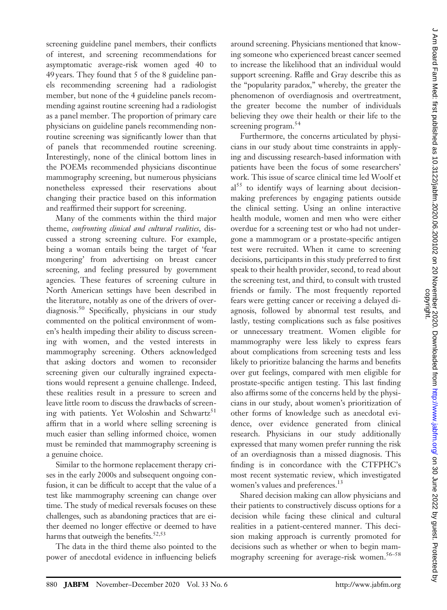screening guideline panel members, their conflicts of interest, and screening recommendations for asymptomatic average-risk women aged 40 to 49 years. They found that 5 of the 8 guideline panels recommending screening had a radiologist member, but none of the 4 guideline panels recommending against routine screening had a radiologist as a panel member. The proportion of primary care physicians on guideline panels recommending nonroutine screening was significantly lower than that of panels that recommended routine screening. Interestingly, none of the clinical bottom lines in the POEMs recommended physicians discontinue mammography screening, but numerous physicians nonetheless expressed their reservations about changing their practice based on this information and reaffirmed their support for screening.

Many of the comments within the third major theme, confronting clinical and cultural realities, discussed a strong screening culture. For example, being a woman entails being the target of 'fear mongering' from advertising on breast cancer screening, and feeling pressured by government agencies. These features of screening culture in North American settings have been described in the literature, notably as one of the drivers of overdiagnosis.50 Specifically, physicians in our study commented on the political environment of women's health impeding their ability to discuss screening with women, and the vested interests in mammography screening. Others acknowledged that asking doctors and women to reconsider screening given our culturally ingrained expectations would represent a genuine challenge. Indeed, these realities result in a pressure to screen and leave little room to discuss the drawbacks of screening with patients. Yet Woloshin and Schwartz<sup>51</sup> affirm that in a world where selling screening is much easier than selling informed choice, women must be reminded that mammography screening is a genuine choice.

Similar to the hormone replacement therapy crises in the early 2000s and subsequent ongoing confusion, it can be difficult to accept that the value of a test like mammography screening can change over time. The study of medical reversals focuses on these challenges, such as abandoning practices that are either deemed no longer effective or deemed to have harms that outweigh the benefits.<sup>52,53</sup>

The data in the third theme also pointed to the power of anecdotal evidence in influencing beliefs

around screening. Physicians mentioned that knowing someone who experienced breast cancer seemed to increase the likelihood that an individual would support screening. Raffle and Gray describe this as the "popularity paradox," whereby, the greater the phenomenon of overdiagnosis and overtreatment, the greater become the number of individuals believing they owe their health or their life to the screening program.<sup>54</sup>

Furthermore, the concerns articulated by physicians in our study about time constraints in applying and discussing research-based information with patients have been the focus of some researchers' work. This issue of scarce clinical time led Woolf et  $al<sup>55</sup>$  to identify ways of learning about decisionmaking preferences by engaging patients outside the clinical setting. Using an online interactive health module, women and men who were either overdue for a screening test or who had not undergone a mammogram or a prostate-specific antigen test were recruited. When it came to screening decisions, participants in this study preferred to first speak to their health provider, second, to read about the screening test, and third, to consult with trusted friends or family. The most frequently reported fears were getting cancer or receiving a delayed diagnosis, followed by abnormal test results, and lastly, testing complications such as false positives or unnecessary treatment. Women eligible for mammography were less likely to express fears about complications from screening tests and less likely to prioritize balancing the harms and benefits over gut feelings, compared with men eligible for prostate-specific antigen testing. This last finding also affirms some of the concerns held by the physicians in our study, about women's prioritization of other forms of knowledge such as anecdotal evidence, over evidence generated from clinical research. Physicians in our study additionally expressed that many women prefer running the risk of an overdiagnosis than a missed diagnosis. This finding is in concordance with the CTFPHC's most recent systematic review, which investigated women's values and preferences.<sup>13</sup>

Shared decision making can allow physicians and their patients to constructively discuss options for a decision while facing these clinical and cultural realities in a patient-centered manner. This decision making approach is currently promoted for decisions such as whether or when to begin mammography screening for average-risk women.<sup>56–58</sup>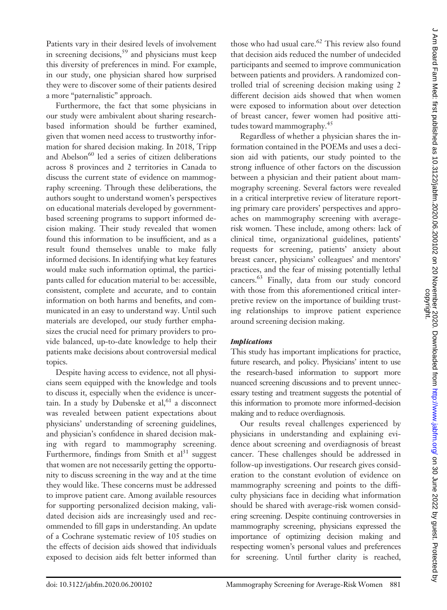Patients vary in their desired levels of involvement in screening decisions,  $59$  and physicians must keep this diversity of preferences in mind. For example, in our study, one physician shared how surprised they were to discover some of their patients desired a more "paternalistic" approach.

Furthermore, the fact that some physicians in our study were ambivalent about sharing researchbased information should be further examined, given that women need access to trustworthy information for shared decision making. In 2018, Tripp and Abelson<sup>60</sup> led a series of citizen deliberations across 8 provinces and 2 territories in Canada to discuss the current state of evidence on mammography screening. Through these deliberations, the authors sought to understand women's perspectives on educational materials developed by governmentbased screening programs to support informed decision making. Their study revealed that women found this information to be insufficient, and as a result found themselves unable to make fully informed decisions. In identifying what key features would make such information optimal, the participants called for education material to be: accessible, consistent, complete and accurate, and to contain information on both harms and benefits, and communicated in an easy to understand way. Until such materials are developed, our study further emphasizes the crucial need for primary providers to provide balanced, up-to-date knowledge to help their patients make decisions about controversial medical topics.

Despite having access to evidence, not all physicians seem equipped with the knowledge and tools to discuss it, especially when the evidence is uncertain. In a study by Dubenske et  $al, <sup>61</sup>$  a disconnect was revealed between patient expectations about physicians' understanding of screening guidelines, and physician's confidence in shared decision making with regard to mammography screening. Furthermore, findings from Smith et  $al<sup>31</sup>$  suggest that women are not necessarily getting the opportunity to discuss screening in the way and at the time they would like. These concerns must be addressed to improve patient care. Among available resources for supporting personalized decision making, validated decision aids are increasingly used and recommended to fill gaps in understanding. An update of a Cochrane systematic review of 105 studies on the effects of decision aids showed that individuals exposed to decision aids felt better informed than those who had usual care. $62$  This review also found that decision aids reduced the number of undecided participants and seemed to improve communication between patients and providers. A randomized controlled trial of screening decision making using 2 different decision aids showed that when women were exposed to information about over detection of breast cancer, fewer women had positive attitudes toward mammography.<sup>45</sup>

Regardless of whether a physician shares the information contained in the POEMs and uses a decision aid with patients, our study pointed to the strong influence of other factors on the discussion between a physician and their patient about mammography screening. Several factors were revealed in a critical interpretive review of literature reporting primary care providers' perspectives and approaches on mammography screening with averagerisk women. These include, among others: lack of clinical time, organizational guidelines, patients' requests for screening, patients' anxiety about breast cancer, physicians' colleagues' and mentors' practices, and the fear of missing potentially lethal cancers.63 Finally, data from our study concord with those from this aforementioned critical interpretive review on the importance of building trusting relationships to improve patient experience around screening decision making.

# **Implications**

This study has important implications for practice, future research, and policy. Physicians' intent to use the research-based information to support more nuanced screening discussions and to prevent unnecessary testing and treatment suggests the potential of this information to promote more informed-decision making and to reduce overdiagnosis.

Our results reveal challenges experienced by physicians in understanding and explaining evidence about screening and overdiagnosis of breast cancer. These challenges should be addressed in follow-up investigations. Our research gives consideration to the constant evolution of evidence on mammography screening and points to the difficulty physicians face in deciding what information should be shared with average-risk women considering screening. Despite continuing controversies in mammography screening, physicians expressed the importance of optimizing decision making and respecting women's personal values and preferences for screening. Until further clarity is reached,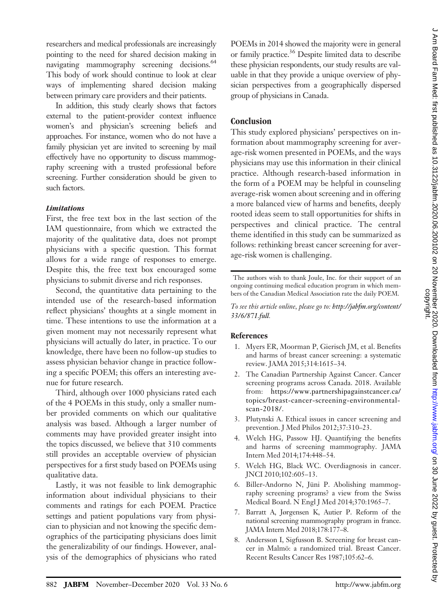researchers and medical professionals are increasingly pointing to the need for shared decision making in navigating mammography screening decisions.<sup>64</sup> This body of work should continue to look at clear ways of implementing shared decision making between primary care providers and their patients.

In addition, this study clearly shows that factors external to the patient-provider context influence women's and physician's screening beliefs and approaches. For instance, women who do not have a family physician yet are invited to screening by mail effectively have no opportunity to discuss mammography screening with a trusted professional before screening. Further consideration should be given to such factors.

#### **Limitations**

First, the free text box in the last section of the IAM questionnaire, from which we extracted the majority of the qualitative data, does not prompt physicians with a specific question. This format allows for a wide range of responses to emerge. Despite this, the free text box encouraged some physicians to submit diverse and rich responses.

Second, the quantitative data pertaining to the intended use of the research-based information reflect physicians' thoughts at a single moment in time. These intentions to use the information at a given moment may not necessarily represent what physicians will actually do later, in practice. To our knowledge, there have been no follow-up studies to assess physician behavior change in practice following a specific POEM; this offers an interesting avenue for future research.

Third, although over 1000 physicians rated each of the 4 POEMs in this study, only a smaller number provided comments on which our qualitative analysis was based. Although a larger number of comments may have provided greater insight into the topics discussed, we believe that 310 comments still provides an acceptable overview of physician perspectives for a first study based on POEMs using qualitative data.

Lastly, it was not feasible to link demographic information about individual physicians to their comments and ratings for each POEM. Practice settings and patient populations vary from physician to physician and not knowing the specific demographics of the participating physicians does limit the generalizability of our findings. However, analysis of the demographics of physicians who rated POEMs in 2014 showed the majority were in general or family practice.<sup>36</sup> Despite limited data to describe these physician respondents, our study results are valuable in that they provide a unique overview of physician perspectives from a geographically dispersed group of physicians in Canada.

# **Conclusion**

This study explored physicians' perspectives on information about mammography screening for average-risk women presented in POEMs, and the ways physicians may use this information in their clinical practice. Although research-based information in the form of a POEM may be helpful in counseling average-risk women about screening and in offering a more balanced view of harms and benefits, deeply rooted ideas seem to stall opportunities for shifts in perspectives and clinical practice. The central theme identified in this study can be summarized as follows: rethinking breast cancer screening for average-risk women is challenging.

The authors wish to thank Joule, Inc. for their support of an ongoing continuing medical education program in which members of the Canadian Medical Association rate the daily POEM.

To see this article online, please go to: [http://jabfm.org/content/](http://jabfm.org/content/33/6/871.full) [33/6/871.full](http://jabfm.org/content/33/6/871.full).

# References

- 1. Myers ER, Moorman P, Gierisch JM, et al. Benefits and harms of breast cancer screening: a systematic review. JAMA 2015;314:1615–34.
- 2. The Canadian Partnership Against Cancer. Cancer screening programs across Canada. 2018. Available from: [https://www.partnershipagainstcancer.ca/](https://www.partnershipagainstcancer.ca/topics/breast-cancer-screening-environmental-scan-2018/) [topics/breast-cancer-screening-environmental](https://www.partnershipagainstcancer.ca/topics/breast-cancer-screening-environmental-scan-2018/)[scan-2018/.](https://www.partnershipagainstcancer.ca/topics/breast-cancer-screening-environmental-scan-2018/)
- 3. Plutynski A. Ethical issues in cancer screening and prevention. J Med Philos 2012;37:310–23.
- 4. Welch HG, Passow HJ. Quantifying the benefits and harms of screening mammography. JAMA Intern Med 2014;174:448–54.
- 5. Welch HG, Black WC. Overdiagnosis in cancer. JNCI 2010;102:605–13.
- 6. Biller-Andorno N, Jüni P. Abolishing mammography screening programs? a view from the Swiss Medical Board. N Engl J Med 2014;370:1965–7.
- 7. Barratt A, Jørgensen K, Autier P. Reform of the national screening mammography program in france. JAMA Intern Med 2018;178:177–8.
- 8. Andersson I, Sigfusson B. Screening for breast cancer in Malmö: a randomized trial. Breast Cancer. Recent Results Cancer Res 1987;105:62–6.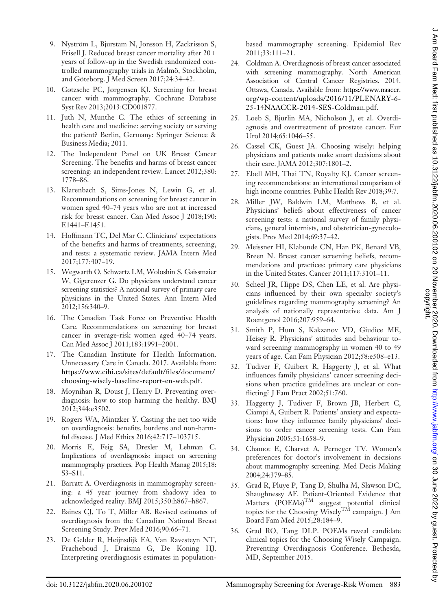- 9. Nyström L, Bjurstam N, Jonsson H, Zackrisson S, Frisell J. Reduced breast cancer mortality after 20+ years of follow-up in the Swedish randomized controlled mammography trials in Malmö, Stockholm, and Göteborg. J Med Screen 2017;24:34–42.
- 10. Gøtzsche PC, Jørgensen KJ. Screening for breast cancer with mammography. Cochrane Database Syst Rev 2013;2013:CD001877.
- 11. Juth N, Munthe C. The ethics of screening in health care and medicine: serving society or serving the patient? Berlin, Germany: Springer Science & Business Media; 2011.
- 12. The Independent Panel on UK Breast Cancer Screening. The benefits and harms of breast cancer screening: an independent review. Lancet 2012;380: 1778–86.
- 13. Klarenbach S, Sims-Jones N, Lewin G, et al. Recommendations on screening for breast cancer in women aged 40–74 years who are not at increased risk for breast cancer. Can Med Assoc J 2018;190: E1441–E1451.
- 14. Hoffmann TC, Del Mar C. Clinicians' expectations of the benefits and harms of treatments, screening, and tests: a systematic review. JAMA Intern Med 2017;177:407–19.
- 15. Wegwarth O, Schwartz LM, Woloshin S, Gaissmaier W, Gigerenzer G. Do physicians understand cancer screening statistics? A national survey of primary care physicians in the United States. Ann Intern Med 2012;156:340–9.
- 16. The Canadian Task Force on Preventive Health Care. Recommendations on screening for breast cancer in average-risk women aged 40–74 years. Can Med Assoc J 2011;183:1991–2001.
- 17. The Canadian Institute for Health Information. Unnecessary Care in Canada. 2017. Available from: [https://www.cihi.ca/sites/default/](https://www.cihi.ca/sites/default/files/document/choosing-wisely-baseline-report-en-web.pdf)files/document/ [choosing-wisely-baseline-report-en-web.pdf](https://www.cihi.ca/sites/default/files/document/choosing-wisely-baseline-report-en-web.pdf).
- 18. Moynihan R, Doust J, Henry D. Preventing overdiagnosis: how to stop harming the healthy. BMJ 2012;344:e3502.
- 19. Rogers WA, Mintzker Y. Casting the net too wide on overdiagnosis: benefits, burdens and non-harmful disease. J Med Ethics 2016;42:717–103715.
- 20. Morris E, Feig SA, Drexler M, Lehman C. Implications of overdiagnosis: impact on screening mammography practices. Pop Health Manag 2015;18: S3–S11.
- 21. Barratt A. Overdiagnosis in mammography screening: a 45 year journey from shadowy idea to acknowledged reality. BMJ 2015;350:h867–h867.
- 22. Baines CJ, To T, Miller AB. Revised estimates of overdiagnosis from the Canadian National Breast Screening Study. Prev Med 2016;90:66–71.
- 23. De Gelder R, Heijnsdijk EA, Van Ravesteyn NT, Fracheboud J, Draisma G, De Koning HJ. Interpreting overdiagnosis estimates in population-

based mammography screening. Epidemiol Rev 2011;33:111–21.

- 24. Coldman A. Overdiagnosis of breast cancer associated with screening mammography. North American Association of Central Cancer Registries. 2014. Ottawa, Canada. Available from: [https://www.naaccr.](https://www.naaccr.org/wp-content/uploads/2016/11/PLENARY-6-25-14NAACCR-2014-SES-Coldman.pdf) [org/wp-content/uploads/2016/11/PLENARY-6-](https://www.naaccr.org/wp-content/uploads/2016/11/PLENARY-6-25-14NAACCR-2014-SES-Coldman.pdf) [25-14NAACCR-2014-SES-Coldman.pdf.](https://www.naaccr.org/wp-content/uploads/2016/11/PLENARY-6-25-14NAACCR-2014-SES-Coldman.pdf)
- 25. Loeb S, Bjurlin MA, Nicholson J, et al. Overdiagnosis and overtreatment of prostate cancer. Eur Urol 2014;65:1046–55.
- 26. Cassel CK, Guest JA. Choosing wisely: helping physicians and patients make smart decisions about their care. JAMA 2012;307:1801–2.
- 27. Ebell MH, Thai TN, Royalty KJ. Cancer screening recommendations: an international comparison of high income countries. Public Health Rev 2018;39:7.
- 28. Miller JW, Baldwin LM, Matthews B, et al. Physicians' beliefs about effectiveness of cancer screening tests: a national survey of family physicians, general internists, and obstetrician-gynecologists. Prev Med 2014;69:37–42.
- 29. Meissner HI, Klabunde CN, Han PK, Benard VB, Breen N. Breast cancer screening beliefs, recommendations and practices: primary care physicians in the United States. Cancer 2011;117:3101–11.
- 30. Scheel JR, Hippe DS, Chen LE, et al. Are physicians influenced by their own specialty society's guidelines regarding mammography screening? An analysis of nationally representative data. Am J Roentgenol 2016;207:959–64.
- 31. Smith P, Hum S, Kakzanov VD, Giudice ME, Heisey R. Physicians' attitudes and behaviour toward screening mammography in women 40 to 49 years of age. Can Fam Physician 2012;58:e508–e13.
- 32. Tudiver F, Guibert R, Haggerty J, et al. What influences family physicians' cancer screening decisions when practice guidelines are unclear or conflicting? J Fam Pract 2002;51:760.
- 33. Haggerty J, Tudiver F, Brown JB, Herbert C, Ciampi A, Guibert R. Patients' anxiety and expectations: how they influence family physicians' decisions to order cancer screening tests. Can Fam Physician 2005;51:1658–9.
- 34. Chamot E, Charvet A, Perneger TV. Women's preferences for doctor's involvement in decisions about mammography screening. Med Decis Making 2004;24:379–85.
- 35. Grad R, Pluye P, Tang D, Shulha M, Slawson DC, Shaughnessy AF. Patient-Oriented Evidence that Matters  $(DOEMs)^{TM}$  suggest potential clinical topics for the Choosing Wisely<sup>TM</sup> campaign. J Am Board Fam Med 2015;28:184–9.
- 36. Grad RO, Tang DLP. POEMs reveal candidate clinical topics for the Choosing Wisely Campaign. Preventing Overdiagnosis Conference. Bethesda, MD, September 2015.